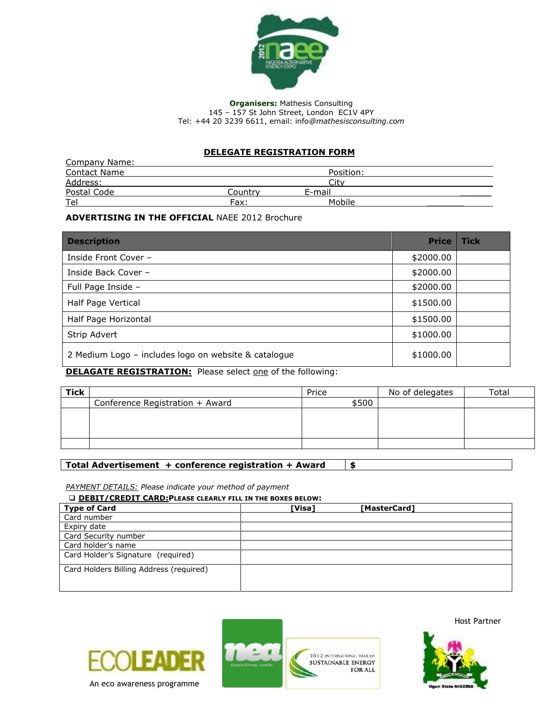

**Organisers:** Mathesis Consulting 145 – 157 St John Street, London EC1V 4PY Tel: +44 20 3239 6611, email: info*@mathesisconsulting.com*

## **DELEGATE REGISTRATION FORM**

| Company Name:       |         |           |  |
|---------------------|---------|-----------|--|
| <b>Contact Name</b> |         | Position: |  |
| Address:            |         | Cit       |  |
| Postal Code         | Countrv | E-mail    |  |
| Tel                 | Fax:    | Mobile    |  |

### **ADVERTISING IN THE OFFICIAL** NAEE 2012 Brochure

| <b>Description</b>                                   | <b>Price</b> | <b>Tick</b> |
|------------------------------------------------------|--------------|-------------|
| Inside Front Cover -                                 | \$2000.00    |             |
| Inside Back Cover -                                  | \$2000.00    |             |
| Full Page Inside -                                   | \$2000.00    |             |
| Half Page Vertical                                   | \$1500.00    |             |
| Half Page Horizontal                                 | \$1500.00    |             |
| Strip Advert                                         | \$1000.00    |             |
| 2 Medium Logo - includes logo on website & catalogue | \$1000.00    |             |

## **DELAGATE REGISTRATION:** Please select one of the following:

| <b>Tick</b> |                                 | Price | No of delegates | Total |
|-------------|---------------------------------|-------|-----------------|-------|
|             | Conference Registration + Award | \$500 |                 |       |
|             |                                 |       |                 |       |
|             |                                 |       |                 |       |
|             |                                 |       |                 |       |
|             |                                 |       |                 |       |

# **Total Advertisement + conference registration + Award \$**

#### *PAYMENT DETAILS: Please indicate your method of payment*

**DEBIT/CREDIT CARD:PLEASE CLEARLY FILL IN THE BOXES BELOW:**

| <b>Type of Card</b>                     | [Visa]<br>[MasterCard] |
|-----------------------------------------|------------------------|
| Card number                             |                        |
| Expiry date                             |                        |
| Card Security number                    |                        |
| Card holder's name                      |                        |
| Card Holder's Signature (required)      |                        |
| Card Holders Billing Address (required) |                        |
|                                         |                        |
|                                         |                        |





Host Partner